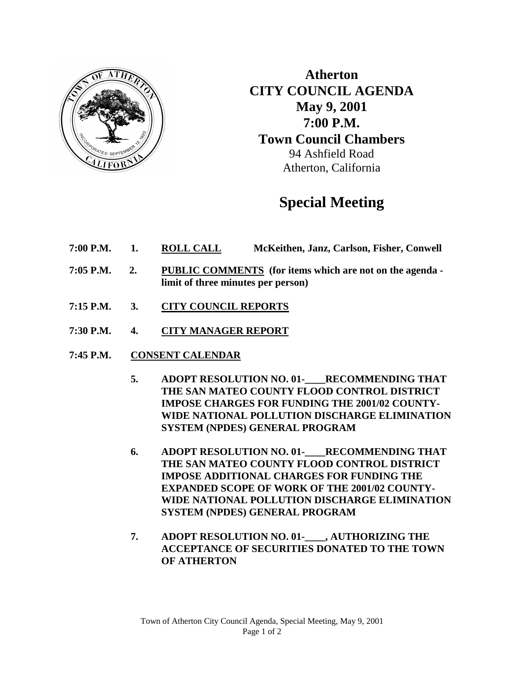

**Atherton CITY COUNCIL AGENDA May 9, 2001 7:00 P.M. Town Council Chambers** 94 Ashfield Road Atherton, California

# **Special Meeting**

- **7:00 P.M. 1. ROLL CALL McKeithen, Janz, Carlson, Fisher, Conwell**
- **7:05 P.M. 2. PUBLIC COMMENTS (for items which are not on the agenda limit of three minutes per person)**
- **7:15 P.M. 3. CITY COUNCIL REPORTS**
- **7:30 P.M. 4. CITY MANAGER REPORT**
- **7:45 P.M. CONSENT CALENDAR**
	- 5. ADOPT RESOLUTION NO. 01-<br>RECOMMENDING THAT **THE SAN MATEO COUNTY FLOOD CONTROL DISTRICT IMPOSE CHARGES FOR FUNDING THE 2001/02 COUNTY-WIDE NATIONAL POLLUTION DISCHARGE ELIMINATION SYSTEM (NPDES) GENERAL PROGRAM**
	- **6. ADOPT RESOLUTION NO. 01-\_\_\_\_RECOMMENDING THAT THE SAN MATEO COUNTY FLOOD CONTROL DISTRICT IMPOSE ADDITIONAL CHARGES FOR FUNDING THE EXPANDED SCOPE OF WORK OF THE 2001/02 COUNTY-WIDE NATIONAL POLLUTION DISCHARGE ELIMINATION SYSTEM (NPDES) GENERAL PROGRAM**
	- **7. ADOPT RESOLUTION NO. 01-\_\_\_\_, AUTHORIZING THE ACCEPTANCE OF SECURITIES DONATED TO THE TOWN OF ATHERTON**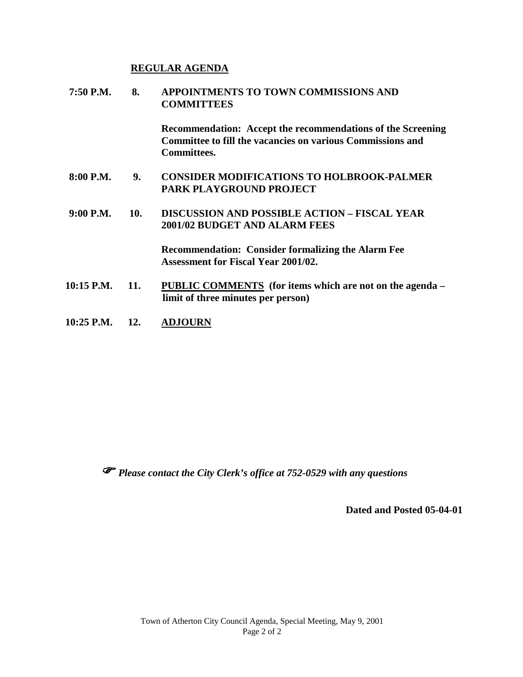#### **REGULAR AGENDA**

| 7:50 P.M.      | 8.  | APPOINTMENTS TO TOWN COMMISSIONS AND<br><b>COMMITTEES</b>                                                                                                     |  |
|----------------|-----|---------------------------------------------------------------------------------------------------------------------------------------------------------------|--|
|                |     | <b>Recommendation:</b> Accept the recommendations of the Screening<br><b>Committee to fill the vacancies on various Commissions and</b><br><b>Committees.</b> |  |
| 8:00 P.M.      | 9.  | <b>CONSIDER MODIFICATIONS TO HOLBROOK-PALMER</b><br><b>PARK PLAYGROUND PROJECT</b>                                                                            |  |
| $9:00$ P.M.    | 10. | <b>DISCUSSION AND POSSIBLE ACTION - FISCAL YEAR</b><br><b>2001/02 BUDGET AND ALARM FEES</b>                                                                   |  |
|                |     | <b>Recommendation: Consider formalizing the Alarm Fee</b><br><b>Assessment for Fiscal Year 2001/02.</b>                                                       |  |
| 10:15 P.M. 11. |     | PUBLIC COMMENTS (for items which are not on the agenda –<br>limit of three minutes per person)                                                                |  |

**10:25 P.M. 12. ADJOURN**

*Please contact the City Clerk's office at 752-0529 with any questions*

**Dated and Posted 05-04-01**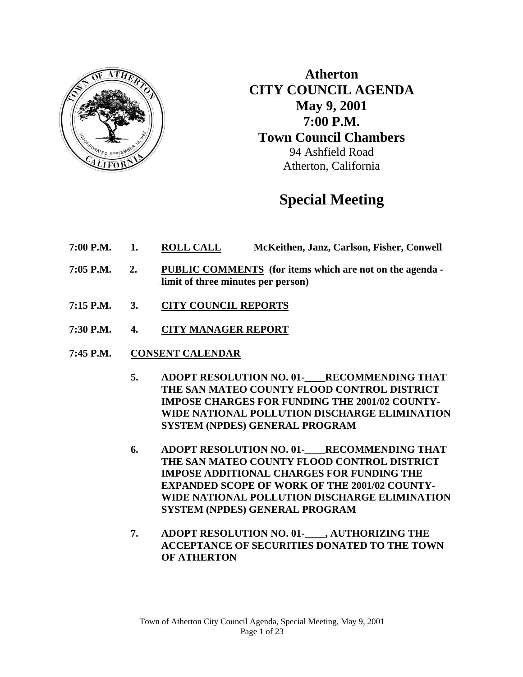

**Atherton CITY COUNCIL AGENDA May 9, 2001 7:00 P.M. Town Council Chambers**  94 Ashfield Road Atherton, California

# **Special Meeting**

- **7:00 P.M. 1. ROLL CALL McKeithen, Janz, Carlson, Fisher, Conwell**
- **7:05 P.M. 2. PUBLIC COMMENTS (for items which are not on the agenda limit of three minutes per person)**
- **7:15 P.M. 3. CITY COUNCIL REPORTS**
- **7:30 P.M. 4. CITY MANAGER REPORT**
- **7:45 P.M. CONSENT CALENDAR**
	- 5. ADOPT RESOLUTION NO. 01-<br>RECOMMENDING THAT **THE SAN MATEO COUNTY FLOOD CONTROL DISTRICT IMPOSE CHARGES FOR FUNDING THE 2001/02 COUNTY-WIDE NATIONAL POLLUTION DISCHARGE ELIMINATION SYSTEM (NPDES) GENERAL PROGRAM**
	- **6. ADOPT RESOLUTION NO. 01-\_\_\_\_RECOMMENDING THAT THE SAN MATEO COUNTY FLOOD CONTROL DISTRICT IMPOSE ADDITIONAL CHARGES FOR FUNDING THE EXPANDED SCOPE OF WORK OF THE 2001/02 COUNTY-WIDE NATIONAL POLLUTION DISCHARGE ELIMINATION SYSTEM (NPDES) GENERAL PROGRAM**
	- **7. ADOPT RESOLUTION NO. 01-\_\_\_\_, AUTHORIZING THE ACCEPTANCE OF SECURITIES DONATED TO THE TOWN OF ATHERTON**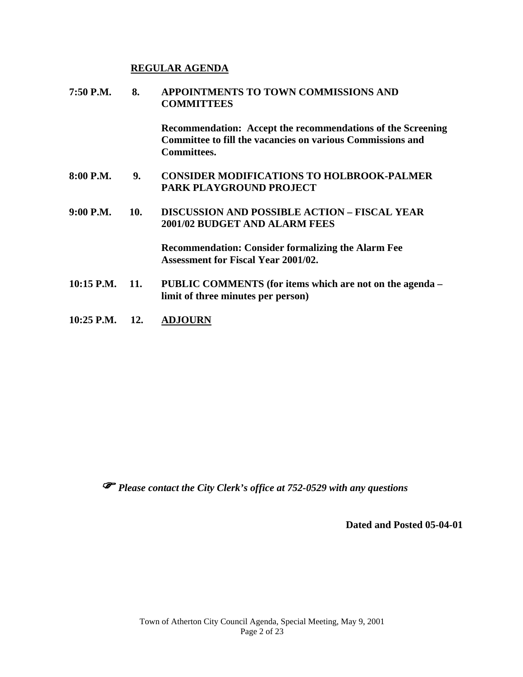#### **REGULAR AGENDA**

| 7:50 P.M.          | 8.  | APPOINTMENTS TO TOWN COMMISSIONS AND<br><b>COMMITTEES</b>                                                                                       |  |
|--------------------|-----|-------------------------------------------------------------------------------------------------------------------------------------------------|--|
|                    |     | Recommendation: Accept the recommendations of the Screening<br>Committee to fill the vacancies on various Commissions and<br><b>Committees.</b> |  |
| 8:00 P.M.          | 9.  | <b>CONSIDER MODIFICATIONS TO HOLBROOK-PALMER</b><br><b>PARK PLAYGROUND PROJECT</b>                                                              |  |
| 9:00 P.M.          | 10. | <b>DISCUSSION AND POSSIBLE ACTION – FISCAL YEAR</b><br><b>2001/02 BUDGET AND ALARM FEES</b>                                                     |  |
|                    |     | <b>Recommendation: Consider formalizing the Alarm Fee</b><br><b>Assessment for Fiscal Year 2001/02.</b>                                         |  |
| $10:15$ P.M. $11.$ |     | PUBLIC COMMENTS (for items which are not on the agenda –<br>limit of three minutes per person)                                                  |  |

**10:25 P.M. 12. ADJOURN**

*Please contact the City Clerk's office at 752-0529 with any questions* 

**Dated and Posted 05-04-01**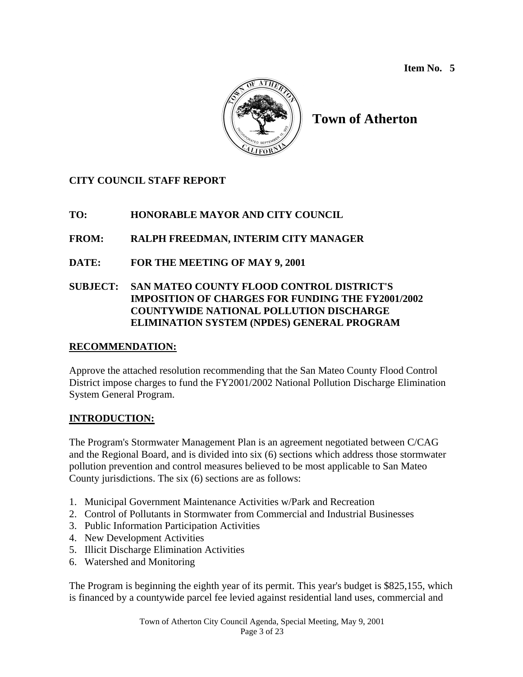

# **Town of Atherton**

# **CITY COUNCIL STAFF REPORT**

# **TO: HONORABLE MAYOR AND CITY COUNCIL**

# **FROM: RALPH FREEDMAN, INTERIM CITY MANAGER**

# **DATE: FOR THE MEETING OF MAY 9, 2001**

#### **SUBJECT: SAN MATEO COUNTY FLOOD CONTROL DISTRICT'S IMPOSITION OF CHARGES FOR FUNDING THE FY2001/2002 COUNTYWIDE NATIONAL POLLUTION DISCHARGE ELIMINATION SYSTEM (NPDES) GENERAL PROGRAM**

#### **RECOMMENDATION:**

Approve the attached resolution recommending that the San Mateo County Flood Control District impose charges to fund the FY2001/2002 National Pollution Discharge Elimination System General Program.

# **INTRODUCTION:**

The Program's Stormwater Management Plan is an agreement negotiated between C/CAG and the Regional Board, and is divided into six (6) sections which address those stormwater pollution prevention and control measures believed to be most applicable to San Mateo County jurisdictions. The six (6) sections are as follows:

- 1. Municipal Government Maintenance Activities w/Park and Recreation
- 2. Control of Pollutants in Stormwater from Commercial and Industrial Businesses
- 3. Public Information Participation Activities
- 4. New Development Activities
- 5. Illicit Discharge Elimination Activities
- 6. Watershed and Monitoring

The Program is beginning the eighth year of its permit. This year's budget is \$825,155, which is financed by a countywide parcel fee levied against residential land uses, commercial and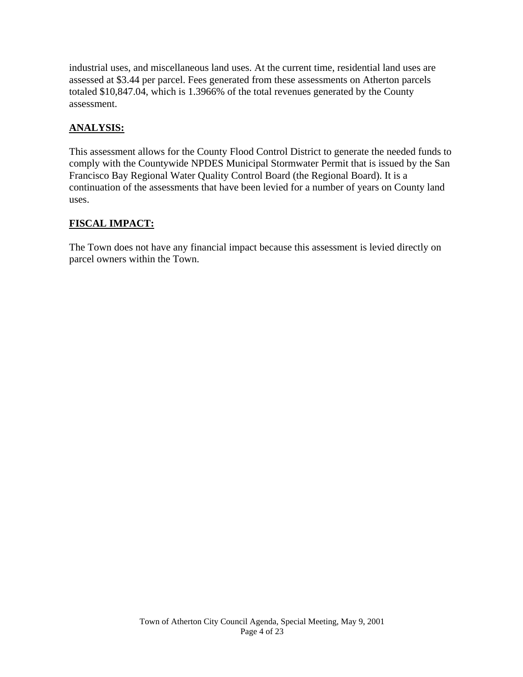industrial uses, and miscellaneous land uses. At the current time, residential land uses are assessed at \$3.44 per parcel. Fees generated from these assessments on Atherton parcels totaled \$10,847.04, which is 1.3966% of the total revenues generated by the County assessment.

### **ANALYSIS:**

This assessment allows for the County Flood Control District to generate the needed funds to comply with the Countywide NPDES Municipal Stormwater Permit that is issued by the San Francisco Bay Regional Water Quality Control Board (the Regional Board). It is a continuation of the assessments that have been levied for a number of years on County land uses.

#### **FISCAL IMPACT:**

The Town does not have any financial impact because this assessment is levied directly on parcel owners within the Town.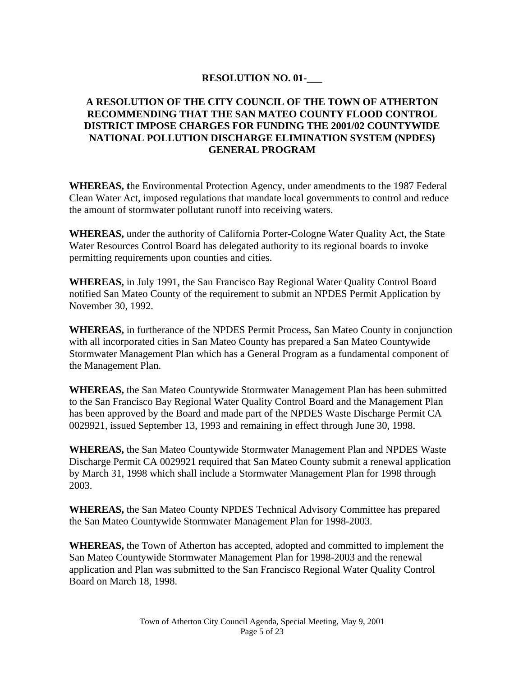#### **RESOLUTION NO. 01-\_\_\_**

#### **A RESOLUTION OF THE CITY COUNCIL OF THE TOWN OF ATHERTON RECOMMENDING THAT THE SAN MATEO COUNTY FLOOD CONTROL DISTRICT IMPOSE CHARGES FOR FUNDING THE 2001/02 COUNTYWIDE NATIONAL POLLUTION DISCHARGE ELIMINATION SYSTEM (NPDES) GENERAL PROGRAM**

**WHEREAS, t**he Environmental Protection Agency, under amendments to the 1987 Federal Clean Water Act, imposed regulations that mandate local governments to control and reduce the amount of stormwater pollutant runoff into receiving waters.

**WHEREAS,** under the authority of California Porter-Cologne Water Quality Act, the State Water Resources Control Board has delegated authority to its regional boards to invoke permitting requirements upon counties and cities.

**WHEREAS,** in July 1991, the San Francisco Bay Regional Water Quality Control Board notified San Mateo County of the requirement to submit an NPDES Permit Application by November 30, 1992.

**WHEREAS,** in furtherance of the NPDES Permit Process, San Mateo County in conjunction with all incorporated cities in San Mateo County has prepared a San Mateo Countywide Stormwater Management Plan which has a General Program as a fundamental component of the Management Plan.

**WHEREAS,** the San Mateo Countywide Stormwater Management Plan has been submitted to the San Francisco Bay Regional Water Quality Control Board and the Management Plan has been approved by the Board and made part of the NPDES Waste Discharge Permit CA 0029921, issued September 13, 1993 and remaining in effect through June 30, 1998.

**WHEREAS,** the San Mateo Countywide Stormwater Management Plan and NPDES Waste Discharge Permit CA 0029921 required that San Mateo County submit a renewal application by March 31, 1998 which shall include a Stormwater Management Plan for 1998 through 2003.

**WHEREAS,** the San Mateo County NPDES Technical Advisory Committee has prepared the San Mateo Countywide Stormwater Management Plan for 1998-2003.

**WHEREAS,** the Town of Atherton has accepted, adopted and committed to implement the San Mateo Countywide Stormwater Management Plan for 1998-2003 and the renewal application and Plan was submitted to the San Francisco Regional Water Quality Control Board on March 18, 1998.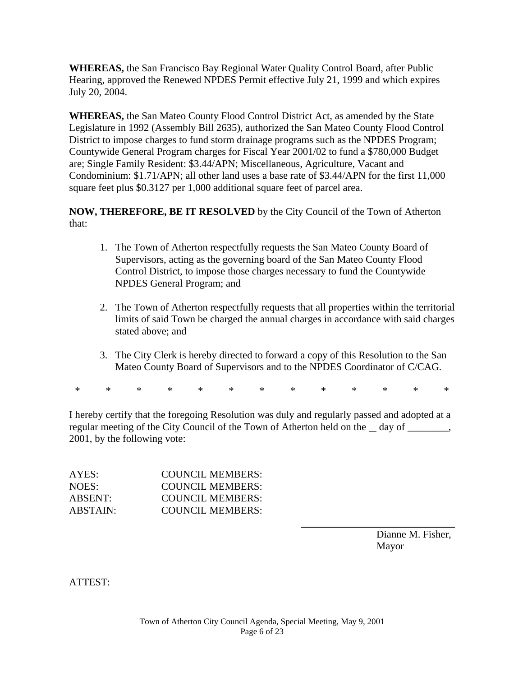**WHEREAS,** the San Francisco Bay Regional Water Quality Control Board, after Public Hearing, approved the Renewed NPDES Permit effective July 21, 1999 and which expires July 20, 2004.

**WHEREAS,** the San Mateo County Flood Control District Act, as amended by the State Legislature in 1992 (Assembly Bill 2635), authorized the San Mateo County Flood Control District to impose charges to fund storm drainage programs such as the NPDES Program; Countywide General Program charges for Fiscal Year 2001/02 to fund a \$780,000 Budget are; Single Family Resident: \$3.44/APN; Miscellaneous, Agriculture, Vacant and Condominium: \$1.71/APN; all other land uses a base rate of \$3.44/APN for the first 11,000 square feet plus \$0.3127 per 1,000 additional square feet of parcel area.

**NOW, THEREFORE, BE IT RESOLVED** by the City Council of the Town of Atherton that:

- 1. The Town of Atherton respectfully requests the San Mateo County Board of Supervisors, acting as the governing board of the San Mateo County Flood Control District, to impose those charges necessary to fund the Countywide NPDES General Program; and
- 2. The Town of Atherton respectfully requests that all properties within the territorial limits of said Town be charged the annual charges in accordance with said charges stated above; and
- 3. The City Clerk is hereby directed to forward a copy of this Resolution to the San Mateo County Board of Supervisors and to the NPDES Coordinator of C/CAG.

\* \* \* \* \* \* \* \* \* \* \* \* \*

I hereby certify that the foregoing Resolution was duly and regularly passed and adopted at a regular meeting of the City Council of the Town of Atherton held on the \_\_ day of \_\_\_\_\_\_\_, 2001, by the following vote:

 $\overline{a}$ 

| AYES:           | COUNCIL MEMBERS: |
|-----------------|------------------|
| NOES:           | COUNCIL MEMBERS: |
| ABSENT:         | COUNCIL MEMBERS: |
| <b>ABSTAIN:</b> | COUNCIL MEMBERS: |

Dianne M. Fisher, Mayor

ATTEST: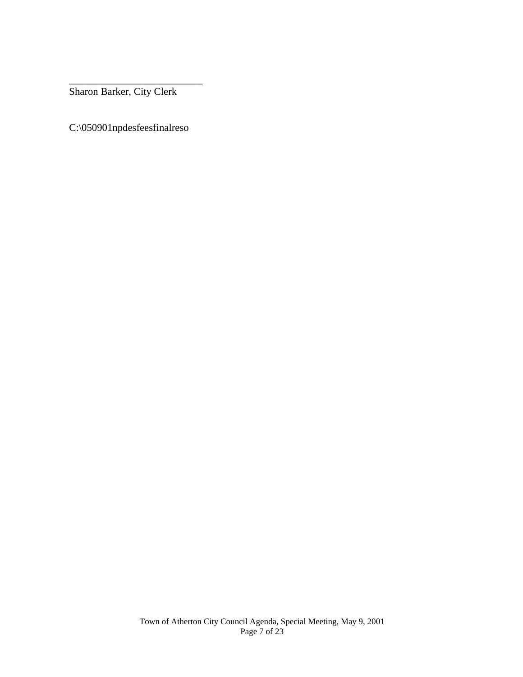\_\_\_\_\_\_\_\_\_\_\_\_\_\_\_\_\_\_\_\_\_\_\_\_\_\_ Sharon Barker, City Clerk

C:\050901npdesfeesfinalreso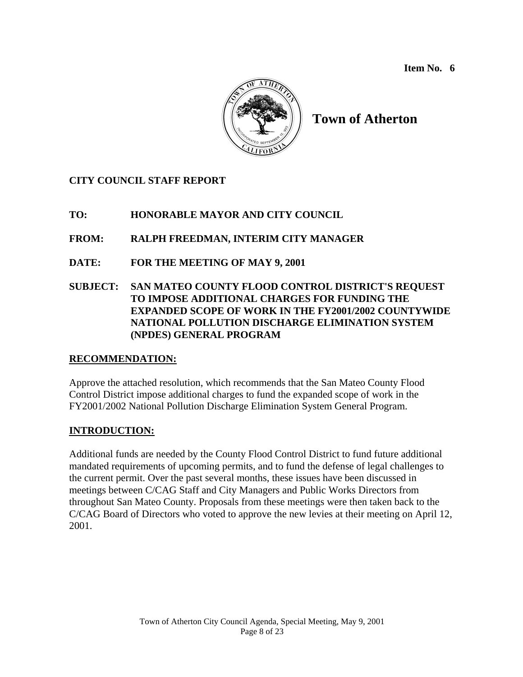

# **Town of Atherton**

# **CITY COUNCIL STAFF REPORT**

# **TO: HONORABLE MAYOR AND CITY COUNCIL**

# **FROM: RALPH FREEDMAN, INTERIM CITY MANAGER**

- **DATE: FOR THE MEETING OF MAY 9, 2001**
- **SUBJECT: SAN MATEO COUNTY FLOOD CONTROL DISTRICT'S REQUEST TO IMPOSE ADDITIONAL CHARGES FOR FUNDING THE EXPANDED SCOPE OF WORK IN THE FY2001/2002 COUNTYWIDE NATIONAL POLLUTION DISCHARGE ELIMINATION SYSTEM (NPDES) GENERAL PROGRAM**

#### **RECOMMENDATION:**

Approve the attached resolution, which recommends that the San Mateo County Flood Control District impose additional charges to fund the expanded scope of work in the FY2001/2002 National Pollution Discharge Elimination System General Program.

#### **INTRODUCTION:**

Additional funds are needed by the County Flood Control District to fund future additional mandated requirements of upcoming permits, and to fund the defense of legal challenges to the current permit. Over the past several months, these issues have been discussed in meetings between C/CAG Staff and City Managers and Public Works Directors from throughout San Mateo County. Proposals from these meetings were then taken back to the C/CAG Board of Directors who voted to approve the new levies at their meeting on April 12, 2001.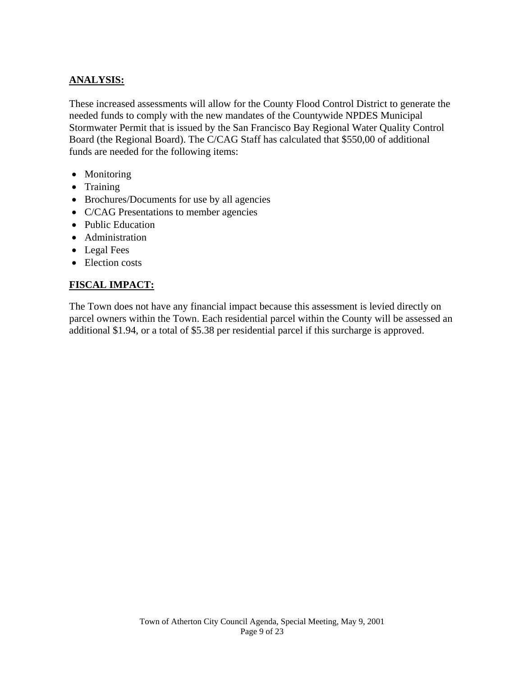# **ANALYSIS:**

These increased assessments will allow for the County Flood Control District to generate the needed funds to comply with the new mandates of the Countywide NPDES Municipal Stormwater Permit that is issued by the San Francisco Bay Regional Water Quality Control Board (the Regional Board). The C/CAG Staff has calculated that \$550,00 of additional funds are needed for the following items:

- Monitoring
- Training
- Brochures/Documents for use by all agencies
- C/CAG Presentations to member agencies
- Public Education
- Administration
- Legal Fees
- Election costs

# **FISCAL IMPACT:**

The Town does not have any financial impact because this assessment is levied directly on parcel owners within the Town. Each residential parcel within the County will be assessed an additional \$1.94, or a total of \$5.38 per residential parcel if this surcharge is approved.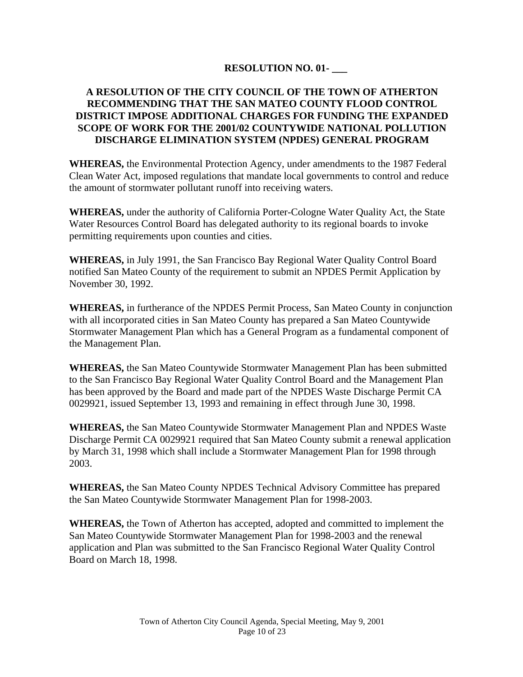#### **RESOLUTION NO. 01- \_\_\_**

#### **A RESOLUTION OF THE CITY COUNCIL OF THE TOWN OF ATHERTON RECOMMENDING THAT THE SAN MATEO COUNTY FLOOD CONTROL DISTRICT IMPOSE ADDITIONAL CHARGES FOR FUNDING THE EXPANDED SCOPE OF WORK FOR THE 2001/02 COUNTYWIDE NATIONAL POLLUTION DISCHARGE ELIMINATION SYSTEM (NPDES) GENERAL PROGRAM**

**WHEREAS,** the Environmental Protection Agency, under amendments to the 1987 Federal Clean Water Act, imposed regulations that mandate local governments to control and reduce the amount of stormwater pollutant runoff into receiving waters.

**WHEREAS,** under the authority of California Porter-Cologne Water Quality Act, the State Water Resources Control Board has delegated authority to its regional boards to invoke permitting requirements upon counties and cities.

**WHEREAS,** in July 1991, the San Francisco Bay Regional Water Quality Control Board notified San Mateo County of the requirement to submit an NPDES Permit Application by November 30, 1992.

**WHEREAS,** in furtherance of the NPDES Permit Process, San Mateo County in conjunction with all incorporated cities in San Mateo County has prepared a San Mateo Countywide Stormwater Management Plan which has a General Program as a fundamental component of the Management Plan.

**WHEREAS,** the San Mateo Countywide Stormwater Management Plan has been submitted to the San Francisco Bay Regional Water Quality Control Board and the Management Plan has been approved by the Board and made part of the NPDES Waste Discharge Permit CA 0029921, issued September 13, 1993 and remaining in effect through June 30, 1998.

**WHEREAS,** the San Mateo Countywide Stormwater Management Plan and NPDES Waste Discharge Permit CA 0029921 required that San Mateo County submit a renewal application by March 31, 1998 which shall include a Stormwater Management Plan for 1998 through 2003.

**WHEREAS,** the San Mateo County NPDES Technical Advisory Committee has prepared the San Mateo Countywide Stormwater Management Plan for 1998-2003.

**WHEREAS,** the Town of Atherton has accepted, adopted and committed to implement the San Mateo Countywide Stormwater Management Plan for 1998-2003 and the renewal application and Plan was submitted to the San Francisco Regional Water Quality Control Board on March 18, 1998.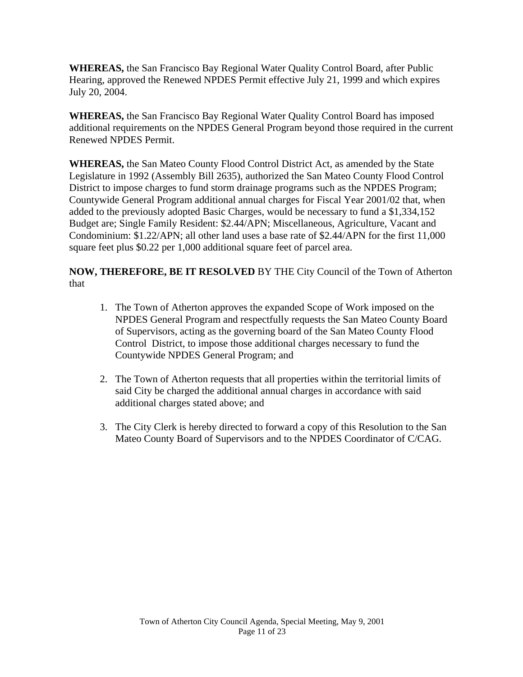**WHEREAS,** the San Francisco Bay Regional Water Quality Control Board, after Public Hearing, approved the Renewed NPDES Permit effective July 21, 1999 and which expires July 20, 2004.

**WHEREAS,** the San Francisco Bay Regional Water Quality Control Board has imposed additional requirements on the NPDES General Program beyond those required in the current Renewed NPDES Permit.

**WHEREAS,** the San Mateo County Flood Control District Act, as amended by the State Legislature in 1992 (Assembly Bill 2635), authorized the San Mateo County Flood Control District to impose charges to fund storm drainage programs such as the NPDES Program; Countywide General Program additional annual charges for Fiscal Year 2001/02 that, when added to the previously adopted Basic Charges, would be necessary to fund a \$1,334,152 Budget are; Single Family Resident: \$2.44/APN; Miscellaneous, Agriculture, Vacant and Condominium: \$1.22/APN; all other land uses a base rate of \$2.44/APN for the first 11,000 square feet plus \$0.22 per 1,000 additional square feet of parcel area.

**NOW, THEREFORE, BE IT RESOLVED** BY THE City Council of the Town of Atherton that

- 1. The Town of Atherton approves the expanded Scope of Work imposed on the NPDES General Program and respectfully requests the San Mateo County Board of Supervisors, acting as the governing board of the San Mateo County Flood Control District, to impose those additional charges necessary to fund the Countywide NPDES General Program; and
- 2. The Town of Atherton requests that all properties within the territorial limits of said City be charged the additional annual charges in accordance with said additional charges stated above; and
- 3. The City Clerk is hereby directed to forward a copy of this Resolution to the San Mateo County Board of Supervisors and to the NPDES Coordinator of C/CAG.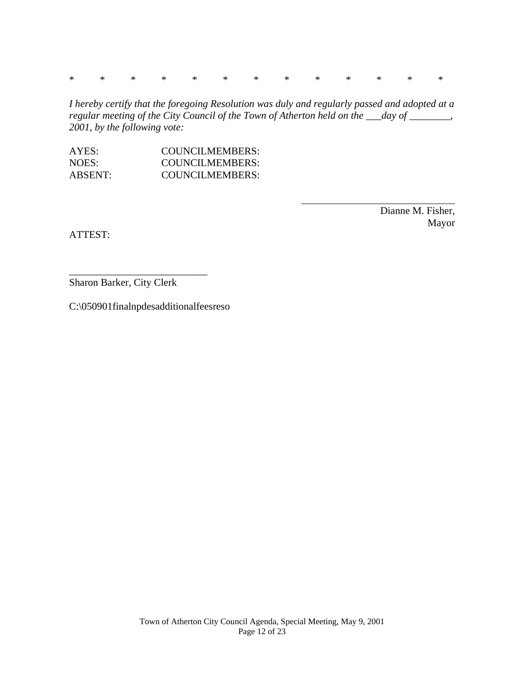\* \* \* \* \* \* \* \* \* \* \* \* \*

*I hereby certify that the foregoing Resolution was duly and regularly passed and adopted at a regular meeting of the City Council of the Town of Atherton held on the \_\_\_day of \_\_\_\_\_\_\_\_, 2001, by the following vote:* 

 $\overline{a}$ 

| AYES:          | COUNCILMEMBERS: |
|----------------|-----------------|
| NOES:          | COUNCILMEMBERS: |
| <b>ABSENT:</b> | COUNCILMEMBERS: |

 Dianne M. Fisher, Mayor

ATTEST:

\_\_\_\_\_\_\_\_\_\_\_\_\_\_\_\_\_\_\_\_\_\_\_\_\_\_\_ Sharon Barker, City Clerk

C:\050901finalnpdesadditionalfeesreso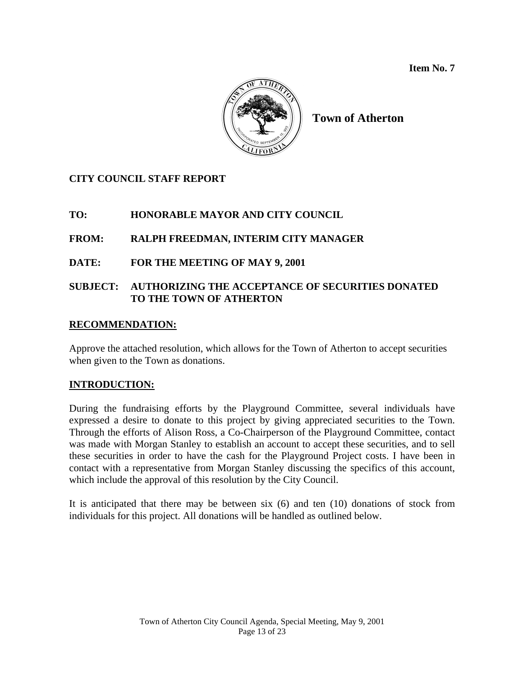

**Town of Atherton** 

# **CITY COUNCIL STAFF REPORT**

# **TO: HONORABLE MAYOR AND CITY COUNCIL**

#### **FROM: RALPH FREEDMAN, INTERIM CITY MANAGER**

#### **DATE: FOR THE MEETING OF MAY 9, 2001**

#### **SUBJECT: AUTHORIZING THE ACCEPTANCE OF SECURITIES DONATED TO THE TOWN OF ATHERTON**

#### **RECOMMENDATION:**

Approve the attached resolution, which allows for the Town of Atherton to accept securities when given to the Town as donations.

#### **INTRODUCTION:**

During the fundraising efforts by the Playground Committee, several individuals have expressed a desire to donate to this project by giving appreciated securities to the Town. Through the efforts of Alison Ross, a Co-Chairperson of the Playground Committee, contact was made with Morgan Stanley to establish an account to accept these securities, and to sell these securities in order to have the cash for the Playground Project costs. I have been in contact with a representative from Morgan Stanley discussing the specifics of this account, which include the approval of this resolution by the City Council.

It is anticipated that there may be between six (6) and ten (10) donations of stock from individuals for this project. All donations will be handled as outlined below.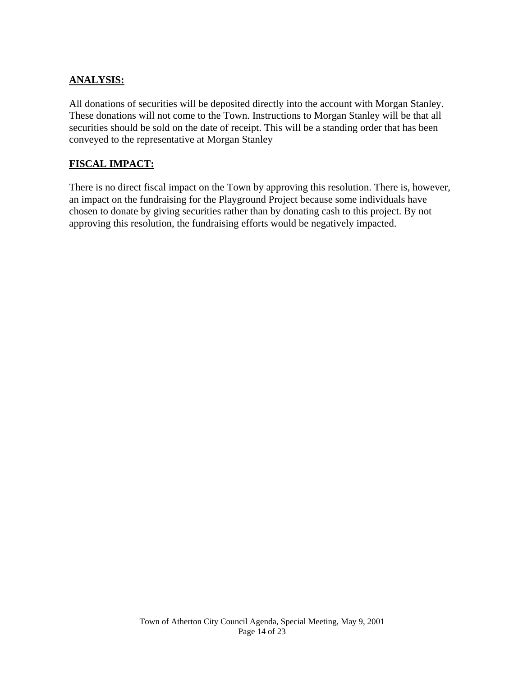# **ANALYSIS:**

All donations of securities will be deposited directly into the account with Morgan Stanley. These donations will not come to the Town. Instructions to Morgan Stanley will be that all securities should be sold on the date of receipt. This will be a standing order that has been conveyed to the representative at Morgan Stanley

#### **FISCAL IMPACT:**

There is no direct fiscal impact on the Town by approving this resolution. There is, however, an impact on the fundraising for the Playground Project because some individuals have chosen to donate by giving securities rather than by donating cash to this project. By not approving this resolution, the fundraising efforts would be negatively impacted.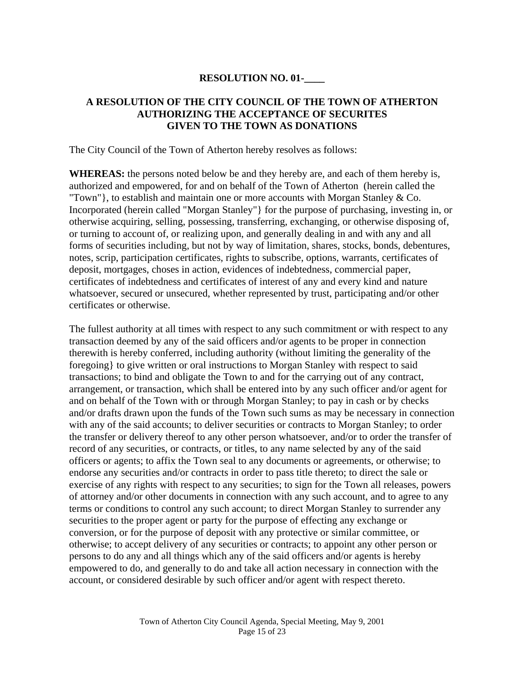#### **RESOLUTION NO. 01-\_\_\_\_**

#### **A RESOLUTION OF THE CITY COUNCIL OF THE TOWN OF ATHERTON AUTHORIZING THE ACCEPTANCE OF SECURITES GIVEN TO THE TOWN AS DONATIONS**

The City Council of the Town of Atherton hereby resolves as follows:

**WHEREAS:** the persons noted below be and they hereby are, and each of them hereby is, authorized and empowered, for and on behalf of the Town of Atherton (herein called the "Town"}, to establish and maintain one or more accounts with Morgan Stanley  $& Co.$ Incorporated (herein called "Morgan Stanley"} for the purpose of purchasing, investing in, or otherwise acquiring, selling, possessing, transferring, exchanging, or otherwise disposing of, or turning to account of, or realizing upon, and generally dealing in and with any and all forms of securities including, but not by way of limitation, shares, stocks, bonds, debentures, notes, scrip, participation certificates, rights to subscribe, options, warrants, certificates of deposit, mortgages, choses in action, evidences of indebtedness, commercial paper, certificates of indebtedness and certificates of interest of any and every kind and nature whatsoever, secured or unsecured, whether represented by trust, participating and/or other certificates or otherwise.

The fullest authority at all times with respect to any such commitment or with respect to any transaction deemed by any of the said officers and/or agents to be proper in connection therewith is hereby conferred, including authority (without limiting the generality of the foregoing} to give written or oral instructions to Morgan Stanley with respect to said transactions; to bind and obligate the Town to and for the carrying out of any contract, arrangement, or transaction, which shall be entered into by any such officer and/or agent for and on behalf of the Town with or through Morgan Stanley; to pay in cash or by checks and/or drafts drawn upon the funds of the Town such sums as may be necessary in connection with any of the said accounts; to deliver securities or contracts to Morgan Stanley; to order the transfer or delivery thereof to any other person whatsoever, and/or to order the transfer of record of any securities, or contracts, or titles, to any name selected by any of the said officers or agents; to affix the Town seal to any documents or agreements, or otherwise; to endorse any securities and/or contracts in order to pass title thereto; to direct the sale or exercise of any rights with respect to any securities; to sign for the Town all releases, powers of attorney and/or other documents in connection with any such account, and to agree to any terms or conditions to control any such account; to direct Morgan Stanley to surrender any securities to the proper agent or party for the purpose of effecting any exchange or conversion, or for the purpose of deposit with any protective or similar committee, or otherwise; to accept delivery of any securities or contracts; to appoint any other person or persons to do any and all things which any of the said officers and/or agents is hereby empowered to do, and generally to do and take all action necessary in connection with the account, or considered desirable by such officer and/or agent with respect thereto.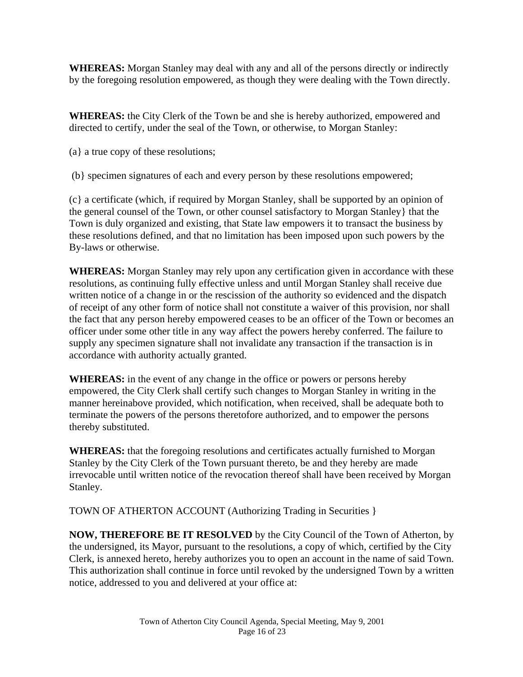**WHEREAS:** Morgan Stanley may deal with any and all of the persons directly or indirectly by the foregoing resolution empowered, as though they were dealing with the Town directly.

**WHEREAS:** the City Clerk of the Town be and she is hereby authorized, empowered and directed to certify, under the seal of the Town, or otherwise, to Morgan Stanley:

(a} a true copy of these resolutions;

(b} specimen signatures of each and every person by these resolutions empowered;

(c} a certificate (which, if required by Morgan Stanley, shall be supported by an opinion of the general counsel of the Town, or other counsel satisfactory to Morgan Stanley} that the Town is duly organized and existing, that State law empowers it to transact the business by these resolutions defined, and that no limitation has been imposed upon such powers by the By-laws or otherwise.

**WHEREAS:** Morgan Stanley may rely upon any certification given in accordance with these resolutions, as continuing fully effective unless and until Morgan Stanley shall receive due written notice of a change in or the rescission of the authority so evidenced and the dispatch of receipt of any other form of notice shall not constitute a waiver of this provision, nor shall the fact that any person hereby empowered ceases to be an officer of the Town or becomes an officer under some other title in any way affect the powers hereby conferred. The failure to supply any specimen signature shall not invalidate any transaction if the transaction is in accordance with authority actually granted.

**WHEREAS:** in the event of any change in the office or powers or persons hereby empowered, the City Clerk shall certify such changes to Morgan Stanley in writing in the manner hereinabove provided, which notification, when received, shall be adequate both to terminate the powers of the persons theretofore authorized, and to empower the persons thereby substituted.

**WHEREAS:** that the foregoing resolutions and certificates actually furnished to Morgan Stanley by the City Clerk of the Town pursuant thereto, be and they hereby are made irrevocable until written notice of the revocation thereof shall have been received by Morgan Stanley.

TOWN OF ATHERTON ACCOUNT (Authorizing Trading in Securities }

**NOW, THEREFORE BE IT RESOLVED** by the City Council of the Town of Atherton, by the undersigned, its Mayor, pursuant to the resolutions, a copy of which, certified by the City Clerk, is annexed hereto, hereby authorizes you to open an account in the name of said Town. This authorization shall continue in force until revoked by the undersigned Town by a written notice, addressed to you and delivered at your office at: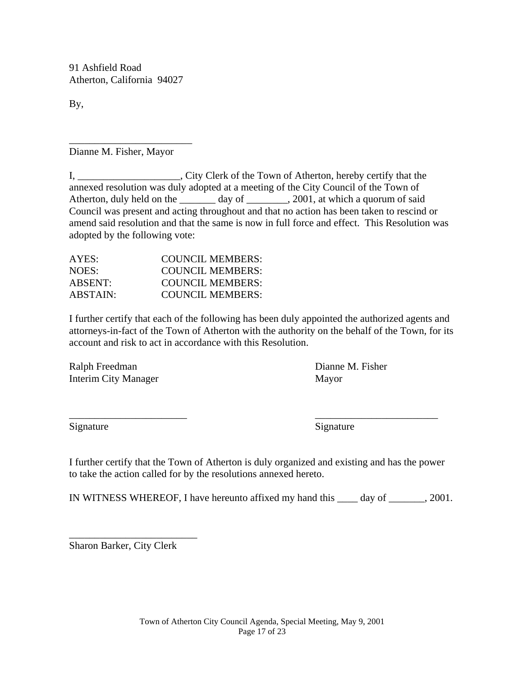91 Ashfield Road Atherton, California 94027

By,

Dianne M. Fisher, Mayor

\_\_\_\_\_\_\_\_\_\_\_\_\_\_\_\_\_\_\_\_\_\_\_\_

I, \_\_\_\_\_\_\_\_\_\_\_\_\_\_\_\_\_\_\_\_, City Clerk of the Town of Atherton, hereby certify that the annexed resolution was duly adopted at a meeting of the City Council of the Town of Atherton, duly held on the \_\_\_\_\_\_\_ day of \_\_\_\_\_\_\_, 2001, at which a quorum of said Council was present and acting throughout and that no action has been taken to rescind or amend said resolution and that the same is now in full force and effect. This Resolution was adopted by the following vote:

| COUNCIL MEMBERS: |
|------------------|
| COUNCIL MEMBERS: |
| COUNCIL MEMBERS: |
| COUNCIL MEMBERS: |
|                  |

I further certify that each of the following has been duly appointed the authorized agents and attorneys-in-fact of the Town of Atherton with the authority on the behalf of the Town, for its account and risk to act in accordance with this Resolution.

Ralph Freedman Dianne M. Fisher Interim City Manager Mayor

Signature Signature Signature Signature Signature Signature Signature Signature Signature Signature Signature Signature Signature Signature Signature Signature Signature Signature Signature Signature Signature Signature Si

I further certify that the Town of Atherton is duly organized and existing and has the power to take the action called for by the resolutions annexed hereto.

 $\overline{\phantom{a}}$  , and the contract of the contract of the contract of the contract of the contract of the contract of the contract of the contract of the contract of the contract of the contract of the contract of the contrac

IN WITNESS WHEREOF, I have hereunto affixed my hand this \_\_\_\_ day of \_\_\_\_\_\_\_, 2001.

Sharon Barker, City Clerk

\_\_\_\_\_\_\_\_\_\_\_\_\_\_\_\_\_\_\_\_\_\_\_\_\_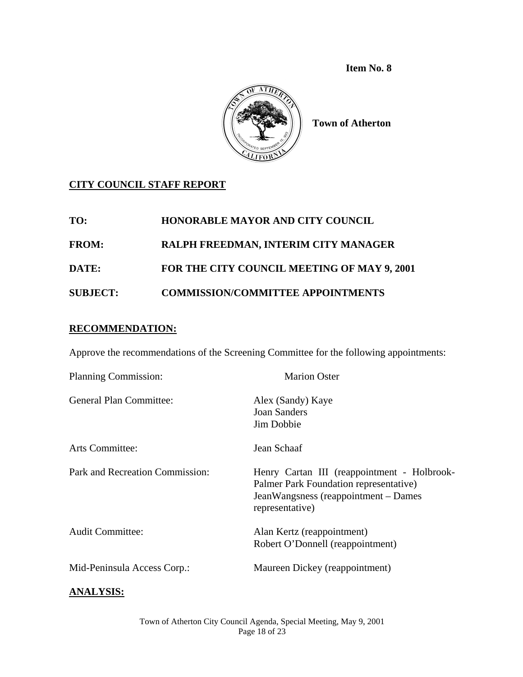

**Town of Atherton** 

# **CITY COUNCIL STAFF REPORT**

| TO:             | <b>HONORABLE MAYOR AND CITY COUNCIL</b>     |
|-----------------|---------------------------------------------|
| <b>FROM:</b>    | RALPH FREEDMAN, INTERIM CITY MANAGER        |
| DATE:           | FOR THE CITY COUNCIL MEETING OF MAY 9, 2001 |
| <b>SUBJECT:</b> | <b>COMMISSION/COMMITTEE APPOINTMENTS</b>    |

#### **RECOMMENDATION:**

Approve the recommendations of the Screening Committee for the following appointments:

| <b>Planning Commission:</b>     | <b>Marion Oster</b>                                                                                                                              |  |
|---------------------------------|--------------------------------------------------------------------------------------------------------------------------------------------------|--|
| <b>General Plan Committee:</b>  | Alex (Sandy) Kaye<br><b>Joan Sanders</b><br>Jim Dobbie                                                                                           |  |
| Arts Committee:                 | Jean Schaaf                                                                                                                                      |  |
| Park and Recreation Commission: | Henry Cartan III (reappointment - Holbrook-<br>Palmer Park Foundation representative)<br>JeanWangsness (reappointment – Dames<br>representative) |  |
| <b>Audit Committee:</b>         | Alan Kertz (reappointment)<br>Robert O'Donnell (reappointment)                                                                                   |  |
| Mid-Peninsula Access Corp.:     | Maureen Dickey (reappointment)                                                                                                                   |  |
|                                 |                                                                                                                                                  |  |

#### **ANALYSIS:**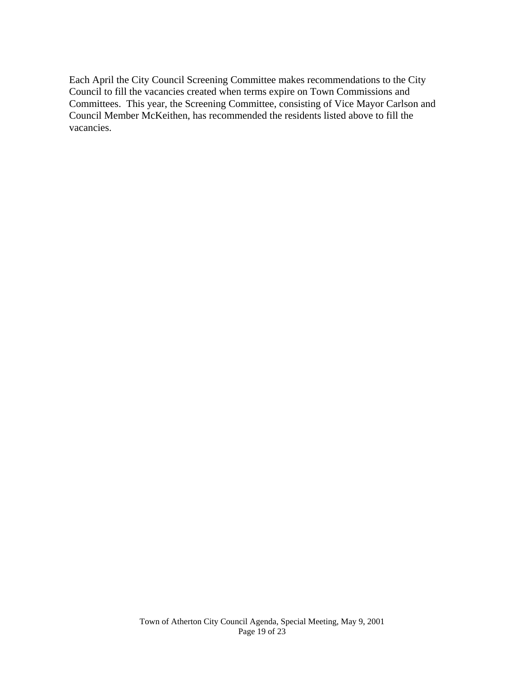Each April the City Council Screening Committee makes recommendations to the City Council to fill the vacancies created when terms expire on Town Commissions and Committees. This year, the Screening Committee, consisting of Vice Mayor Carlson and Council Member McKeithen, has recommended the residents listed above to fill the vacancies.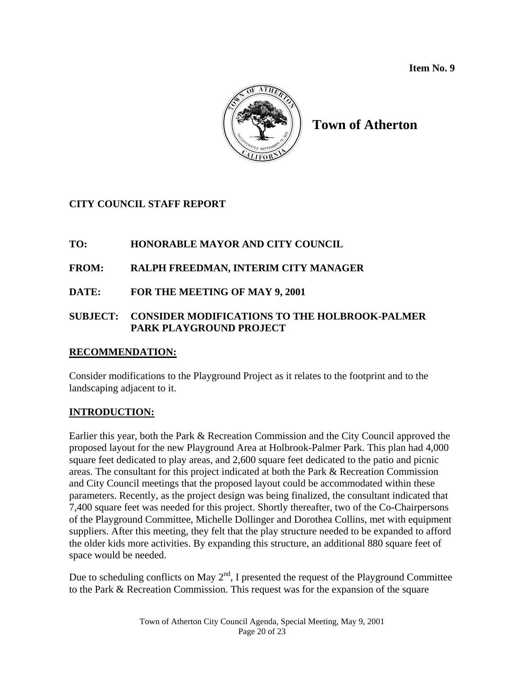

# **Town of Atherton**

# **CITY COUNCIL STAFF REPORT**

# **TO: HONORABLE MAYOR AND CITY COUNCIL**

# **FROM: RALPH FREEDMAN, INTERIM CITY MANAGER**

# **DATE: FOR THE MEETING OF MAY 9, 2001**

# **SUBJECT: CONSIDER MODIFICATIONS TO THE HOLBROOK-PALMER PARK PLAYGROUND PROJECT**

# **RECOMMENDATION:**

Consider modifications to the Playground Project as it relates to the footprint and to the landscaping adjacent to it.

# **INTRODUCTION:**

Earlier this year, both the Park & Recreation Commission and the City Council approved the proposed layout for the new Playground Area at Holbrook-Palmer Park. This plan had 4,000 square feet dedicated to play areas, and 2,600 square feet dedicated to the patio and picnic areas. The consultant for this project indicated at both the Park & Recreation Commission and City Council meetings that the proposed layout could be accommodated within these parameters. Recently, as the project design was being finalized, the consultant indicated that 7,400 square feet was needed for this project. Shortly thereafter, two of the Co-Chairpersons of the Playground Committee, Michelle Dollinger and Dorothea Collins, met with equipment suppliers. After this meeting, they felt that the play structure needed to be expanded to afford the older kids more activities. By expanding this structure, an additional 880 square feet of space would be needed.

Due to scheduling conflicts on May  $2<sup>nd</sup>$ , I presented the request of the Playground Committee to the Park & Recreation Commission. This request was for the expansion of the square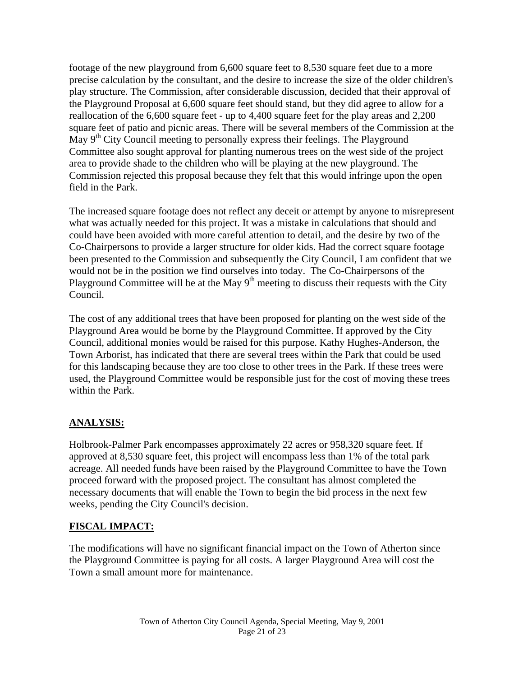footage of the new playground from 6,600 square feet to 8,530 square feet due to a more precise calculation by the consultant, and the desire to increase the size of the older children's play structure. The Commission, after considerable discussion, decided that their approval of the Playground Proposal at 6,600 square feet should stand, but they did agree to allow for a reallocation of the 6,600 square feet - up to 4,400 square feet for the play areas and 2,200 square feet of patio and picnic areas. There will be several members of the Commission at the May  $9<sup>th</sup>$  City Council meeting to personally express their feelings. The Playground Committee also sought approval for planting numerous trees on the west side of the project area to provide shade to the children who will be playing at the new playground. The Commission rejected this proposal because they felt that this would infringe upon the open field in the Park.

The increased square footage does not reflect any deceit or attempt by anyone to misrepresent what was actually needed for this project. It was a mistake in calculations that should and could have been avoided with more careful attention to detail, and the desire by two of the Co-Chairpersons to provide a larger structure for older kids. Had the correct square footage been presented to the Commission and subsequently the City Council, I am confident that we would not be in the position we find ourselves into today. The Co-Chairpersons of the Playground Committee will be at the May  $9<sup>th</sup>$  meeting to discuss their requests with the City Council.

The cost of any additional trees that have been proposed for planting on the west side of the Playground Area would be borne by the Playground Committee. If approved by the City Council, additional monies would be raised for this purpose. Kathy Hughes-Anderson, the Town Arborist, has indicated that there are several trees within the Park that could be used for this landscaping because they are too close to other trees in the Park. If these trees were used, the Playground Committee would be responsible just for the cost of moving these trees within the Park.

# **ANALYSIS:**

Holbrook-Palmer Park encompasses approximately 22 acres or 958,320 square feet. If approved at 8,530 square feet, this project will encompass less than 1% of the total park acreage. All needed funds have been raised by the Playground Committee to have the Town proceed forward with the proposed project. The consultant has almost completed the necessary documents that will enable the Town to begin the bid process in the next few weeks, pending the City Council's decision.

# **FISCAL IMPACT:**

The modifications will have no significant financial impact on the Town of Atherton since the Playground Committee is paying for all costs. A larger Playground Area will cost the Town a small amount more for maintenance.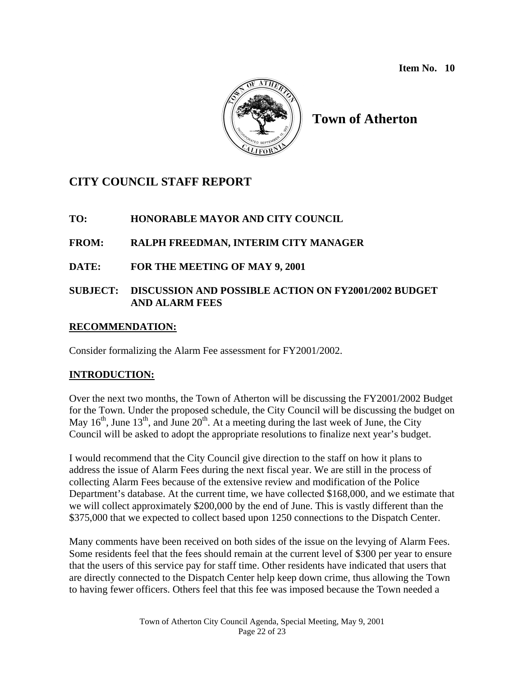

# **Town of Atherton**

# **CITY COUNCIL STAFF REPORT**

# **TO: HONORABLE MAYOR AND CITY COUNCIL**

# **FROM: RALPH FREEDMAN, INTERIM CITY MANAGER**

# **DATE: FOR THE MEETING OF MAY 9, 2001**

#### **SUBJECT: DISCUSSION AND POSSIBLE ACTION ON FY2001/2002 BUDGET AND ALARM FEES**

#### **RECOMMENDATION:**

Consider formalizing the Alarm Fee assessment for FY2001/2002.

# **INTRODUCTION:**

Over the next two months, the Town of Atherton will be discussing the FY2001/2002 Budget for the Town. Under the proposed schedule, the City Council will be discussing the budget on May  $16<sup>th</sup>$ , June  $13<sup>th</sup>$ , and June  $20<sup>th</sup>$ . At a meeting during the last week of June, the City Council will be asked to adopt the appropriate resolutions to finalize next year's budget.

I would recommend that the City Council give direction to the staff on how it plans to address the issue of Alarm Fees during the next fiscal year. We are still in the process of collecting Alarm Fees because of the extensive review and modification of the Police Department's database. At the current time, we have collected \$168,000, and we estimate that we will collect approximately \$200,000 by the end of June. This is vastly different than the \$375,000 that we expected to collect based upon 1250 connections to the Dispatch Center.

Many comments have been received on both sides of the issue on the levying of Alarm Fees. Some residents feel that the fees should remain at the current level of \$300 per year to ensure that the users of this service pay for staff time. Other residents have indicated that users that are directly connected to the Dispatch Center help keep down crime, thus allowing the Town to having fewer officers. Others feel that this fee was imposed because the Town needed a